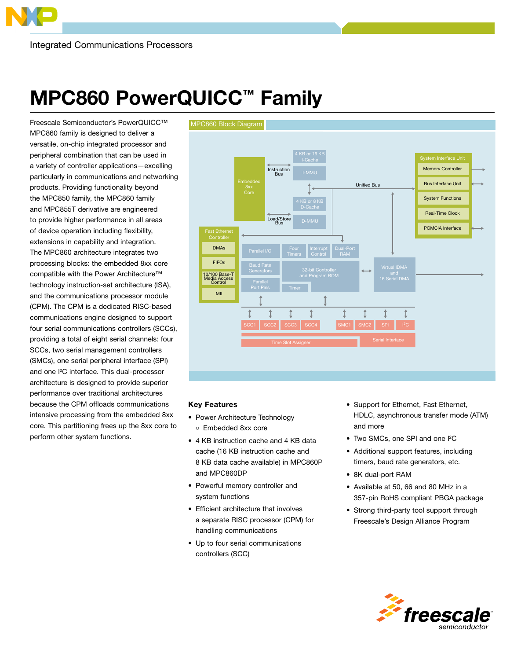## MPC860 PowerQUICC™ Family

Freescale Semiconductor's PowerQUICC™ MPC860 family is designed to deliver a versatile, on-chip integrated processor and peripheral combination that can be used in a variety of controller applications—excelling particularly in communications and networking products. Providing functionality beyond the MPC850 family, the MPC860 family and MPC855T derivative are engineered to provide higher performance in all areas of device operation including flexibility, extensions in capability and integration. The MPC860 architecture integrates two processing blocks: the embedded 8xx core compatible with the Power Architecture™ technology instruction-set architecture (ISA), and the communications processor module (CPM). The CPM is a dedicated RISC-based communications engine designed to support four serial communications controllers (SCCs), providing a total of eight serial channels: four SCCs, two serial management controllers (SMCs), one serial peripheral interface (SPI) and one I<sup>2</sup>C interface. This dual-processor architecture is designed to provide superior performance over traditional architectures because the CPM offloads communications intensive processing from the embedded 8xx core. This partitioning frees up the 8xx core to perform other system functions.



## Key Features

- Power Architecture Technology Embedded 8xx core
- 4 KB instruction cache and 4 KB data cache (16 KB instruction cache and 8 KB data cache available) in MPC860P and MPC860DP
- Powerful memory controller and system functions
- Efficient architecture that involves a separate RISC processor (CPM) for handling communications
- Up to four serial communications controllers (SCC)
- Support for Ethernet, Fast Ethernet, HDLC, asynchronous transfer mode (ATM) and more
- Two SMCs, one SPI and one I<sup>2</sup>C
- Additional support features, including timers, baud rate generators, etc.
- 8K dual-port RAM
- Available at 50, 66 and 80 MHz in a 357-pin RoHS compliant PBGA package
- Strong third-party tool support through Freescale's Design Alliance Program